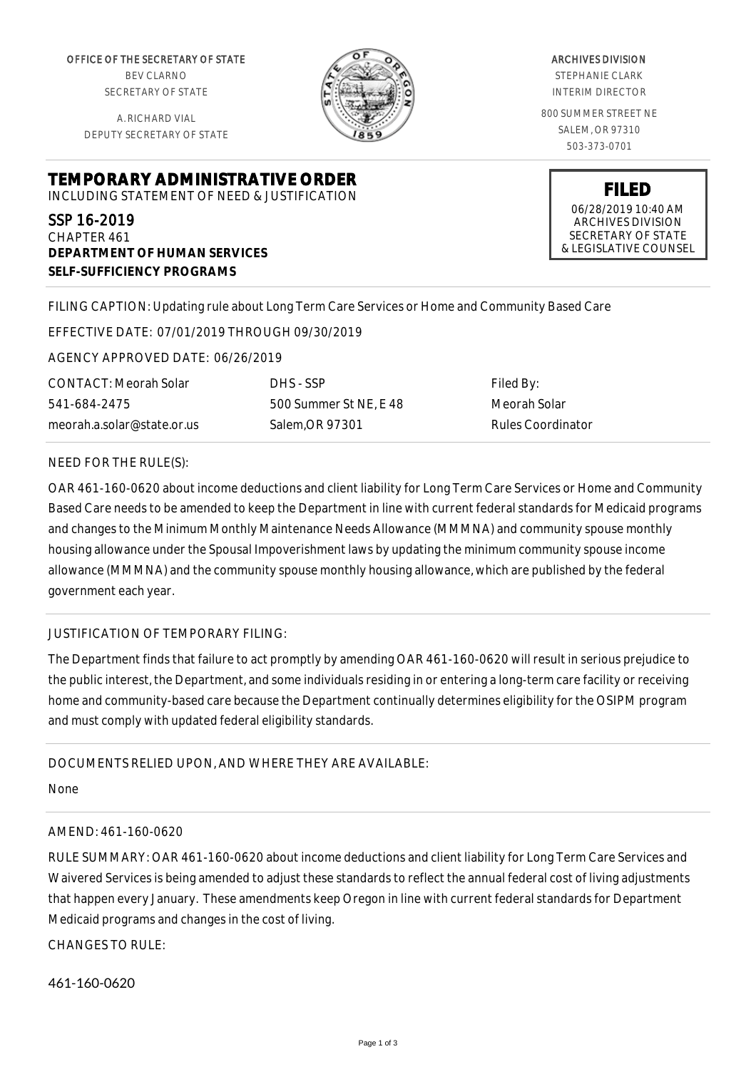OFFICE OF THE SECRETARY OF STATE BEV CLARNO SECRETARY OF STATE

A. RICHARD VIAL DEPUTY SECRETARY OF STATE

**DEPARTMENT OF HUMAN SERVICES**

**SELF-SUFFICIENCY PROGRAMS**



#### ARCHIVES DIVISION

STEPHANIE CLARK INTERIM DIRECTOR

800 SUMMER STREET NE SALEM, OR 97310 503-373-0701

> **FILED** 06/28/2019 10:40 AM

ARCHIVES DIVISION SECRETARY OF STATE & LEGISLATIVE COUNSEL

FILING CAPTION: Updating rule about Long Term Care Services or Home and Community Based Care

EFFECTIVE DATE: 07/01/2019 THROUGH 09/30/2019

**TEMPORARY ADMINISTRATIVE ORDER** INCLUDING STATEMENT OF NEED & JUSTIFICATION

AGENCY APPROVED DATE: 06/26/2019

CONTACT: Meorah Solar 541-684-2475 meorah.a.solar@state.or.us

SSP 16-2019 CHAPTER 461

> DHS - SSP 500 Summer St NE, E 48 Salem,OR 97301

Filed By: Meorah Solar Rules Coordinator

#### NEED FOR THE RULE(S):

OAR 461-160-0620 about income deductions and client liability for Long Term Care Services or Home and Community Based Care needs to be amended to keep the Department in line with current federal standards for Medicaid programs and changes to the Minimum Monthly Maintenance Needs Allowance (MMMNA) and community spouse monthly housing allowance under the Spousal Impoverishment laws by updating the minimum community spouse income allowance (MMMNA) and the community spouse monthly housing allowance, which are published by the federal government each year.

## JUSTIFICATION OF TEMPORARY FILING:

The Department finds that failure to act promptly by amending OAR 461-160-0620 will result in serious prejudice to the public interest, the Department, and some individuals residing in or entering a long-term care facility or receiving home and community-based care because the Department continually determines eligibility for the OSIPM program and must comply with updated federal eligibility standards.

## DOCUMENTS RELIED UPON, AND WHERE THEY ARE AVAILABLE:

None

## AMEND: 461-160-0620

RULE SUMMARY: OAR 461-160-0620 about income deductions and client liability for Long Term Care Services and Waivered Services is being amended to adjust these standards to reflect the annual federal cost of living adjustments that happen every January. These amendments keep Oregon in line with current federal standards for Department Medicaid programs and changes in the cost of living.

CHANGES TO RULE:

461-160-0620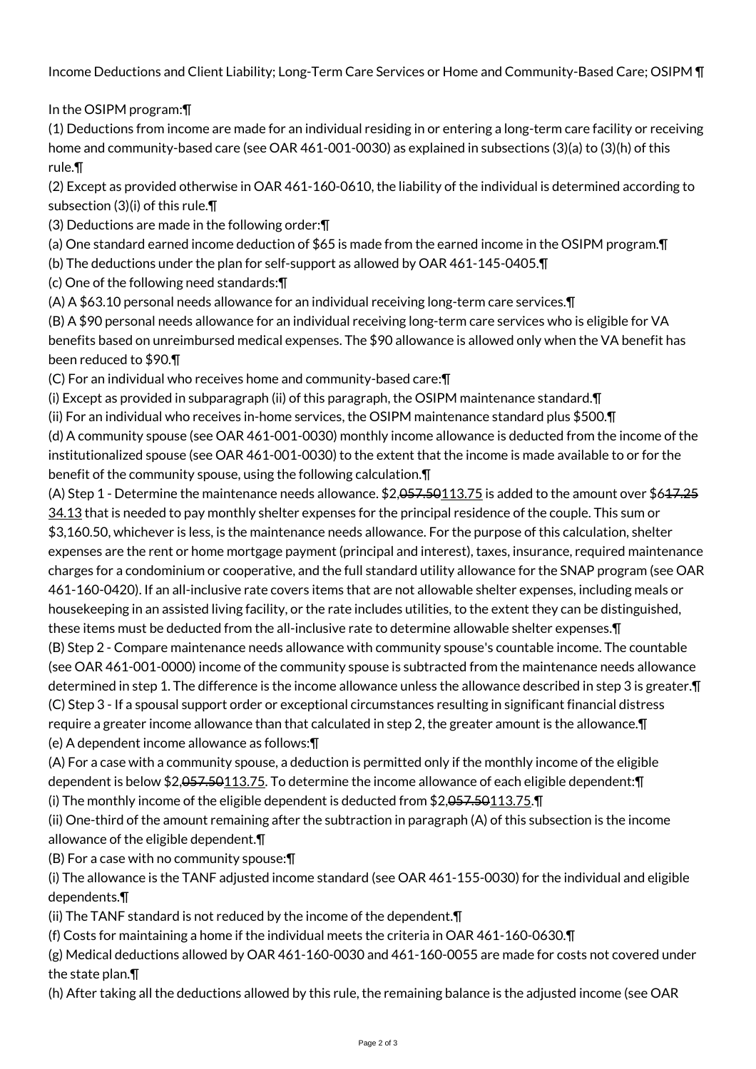Income Deductions and Client Liability; Long-Term Care Services or Home and Community-Based Care; OSIPM ¶

# In the OSIPM program:¶

(1) Deductions from income are made for an individual residing in or entering a long-term care facility or receiving home and community-based care (see OAR 461-001-0030) as explained in subsections (3)(a) to (3)(h) of this rule.¶

(2) Except as provided otherwise in OAR 461-160-0610, the liability of the individual is determined according to subsection (3)(i) of this rule.¶

(3) Deductions are made in the following order:¶

(a) One standard earned income deduction of \$65 is made from the earned income in the OSIPM program.¶

(b) The deductions under the plan for self-support as allowed by OAR 461-145-0405.¶

(c) One of the following need standards:¶

(A) A \$63.10 personal needs allowance for an individual receiving long-term care services.¶

(B) A \$90 personal needs allowance for an individual receiving long-term care services who is eligible for VA benefits based on unreimbursed medical expenses. The \$90 allowance is allowed only when the VA benefit has been reduced to \$90.¶

(C) For an individual who receives home and community-based care:¶

(i) Except as provided in subparagraph (ii) of this paragraph, the OSIPM maintenance standard.¶

(ii) For an individual who receives in-home services, the OSIPM maintenance standard plus \$500.¶

(d) A community spouse (see OAR 461-001-0030) monthly income allowance is deducted from the income of the institutionalized spouse (see OAR 461-001-0030) to the extent that the income is made available to or for the benefit of the community spouse, using the following calculation.¶

(A) Step 1 - Determine the maintenance needs allowance. \$2,057.50113.75 is added to the amount over \$617.25 34.13 that is needed to pay monthly shelter expenses for the principal residence of the couple. This sum or \$3,160.50, whichever is less, is the maintenance needs allowance. For the purpose of this calculation, shelter expenses are the rent or home mortgage payment (principal and interest), taxes, insurance, required maintenance charges for a condominium or cooperative, and the full standard utility allowance for the SNAP program (see OAR 461-160-0420). If an all-inclusive rate covers items that are not allowable shelter expenses, including meals or housekeeping in an assisted living facility, or the rate includes utilities, to the extent they can be distinguished, these items must be deducted from the all-inclusive rate to determine allowable shelter expenses.¶ (B) Step 2 - Compare maintenance needs allowance with community spouse's countable income. The countable (see OAR 461-001-0000) income of the community spouse is subtracted from the maintenance needs allowance determined in step 1. The difference is the income allowance unless the allowance described in step 3 is greater.¶ (C) Step 3 - If a spousal support order or exceptional circumstances resulting in significant financial distress require a greater income allowance than that calculated in step 2, the greater amount is the allowance.¶

(e) A dependent income allowance as follows:¶

(A) For a case with a community spouse, a deduction is permitted only if the monthly income of the eligible dependent is below \$2,057.50113.75. To determine the income allowance of each eligible dependent:¶ (i) The monthly income of the eligible dependent is deducted from \$2,057.50113.75.¶

(ii) One-third of the amount remaining after the subtraction in paragraph (A) of this subsection is the income allowance of the eligible dependent.¶

(B) For a case with no community spouse:¶

(i) The allowance is the TANF adjusted income standard (see OAR 461-155-0030) for the individual and eligible dependents.¶

(ii) The TANF standard is not reduced by the income of the dependent.¶

(f) Costs for maintaining a home if the individual meets the criteria in OAR 461-160-0630.¶

(g) Medical deductions allowed by OAR 461-160-0030 and 461-160-0055 are made for costs not covered under the state plan.¶

(h) After taking all the deductions allowed by this rule, the remaining balance is the adjusted income (see OAR